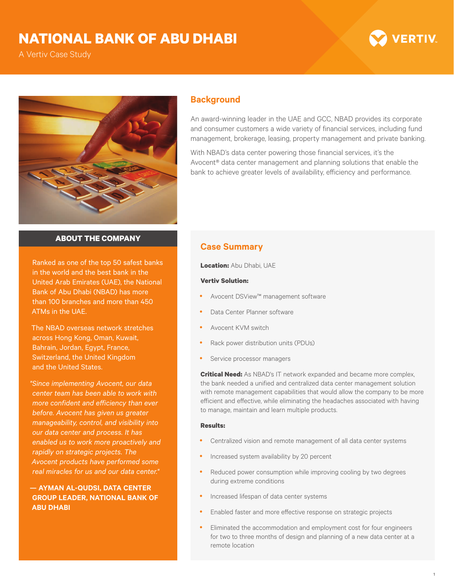## **NATIONAL BANK OF ABU DHABI**

A Vertiv Case Study





### **Background**

An award-winning leader in the UAE and GCC, NBAD provides its corporate and consumer customers a wide variety of financial services, including fund management, brokerage, leasing, property management and private banking.

With NBAD's data center powering those financial services, it's the Avocent® data center management and planning solutions that enable the bank to achieve greater levels of availability, efficiency and performance.

#### **ABOUT THE COMPANY**

Ranked as one of the top 50 safest banks in the world and the best bank in the United Arab Emirates (UAE), the National Bank of Abu Dhabi (NBAD) has more than 100 branches and more than 450 ATMs in the UAE.

The NBAD overseas network stretches across Hong Kong, Oman, Kuwait, Bahrain, Jordan, Egypt, France, Switzerland, the United Kingdom and the United States.

*"Since implementing Avocent, our data center team has been able to work with more confident and efficiency than ever before. Avocent has given us greater manageability, control, and visibility into our data center and process. It has enabled us to work more proactively and rapidly on strategic projects. The Avocent products have performed some real miracles for us and our data center."*

**— AYMAN AL-QUDSI, DATA CENTER GROUP LEADER, NATIONAL BANK OF ABU DHABI**

## **Case Summary**

**Location:** Abu Dhabi, UAE

#### **Vertiv Solution:**

- Avocent DSView™ management software
- Data Center Planner software
- Avocent KVM switch
- Rack power distribution units (PDUs)
- Service processor managers

**Critical Need:** As NBAD's IT network expanded and became more complex, the bank needed a unified and centralized data center management solution with remote management capabilities that would allow the company to be more efficient and effective, while eliminating the headaches associated with having to manage, maintain and learn multiple products.

#### **Results:**

- Centralized vision and remote management of all data center systems
- Increased system availability by 20 percent
- Reduced power consumption while improving cooling by two degrees during extreme conditions
- Increased lifespan of data center systems
- Enabled faster and more effective response on strategic projects
- Eliminated the accommodation and employment cost for four engineers for two to three months of design and planning of a new data center at a remote location